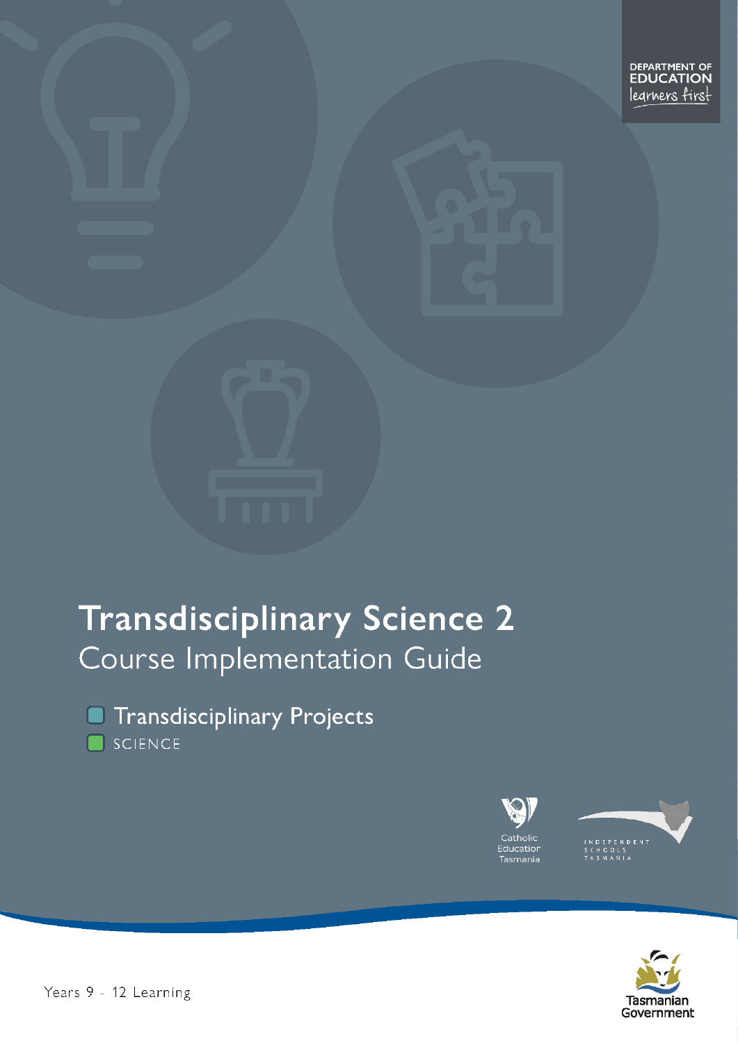

# **Transdisciplinary Science 2** Course Implementation Guide

Transdisciplinary Projects n SCIENCE





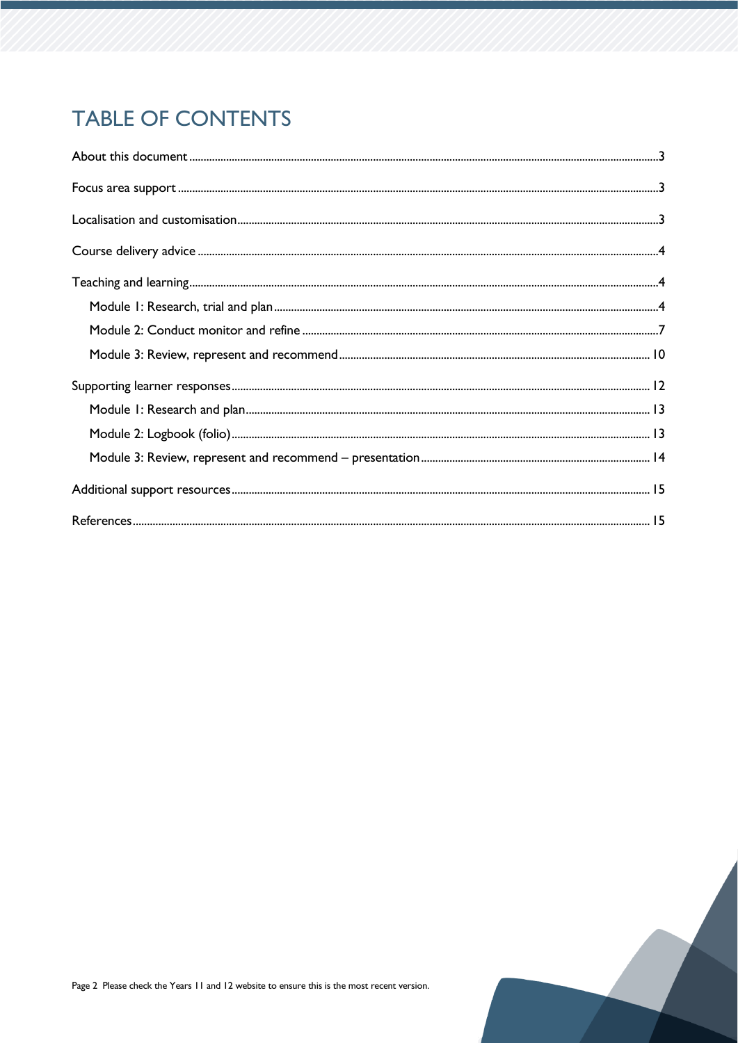# **TABLE OF CONTENTS**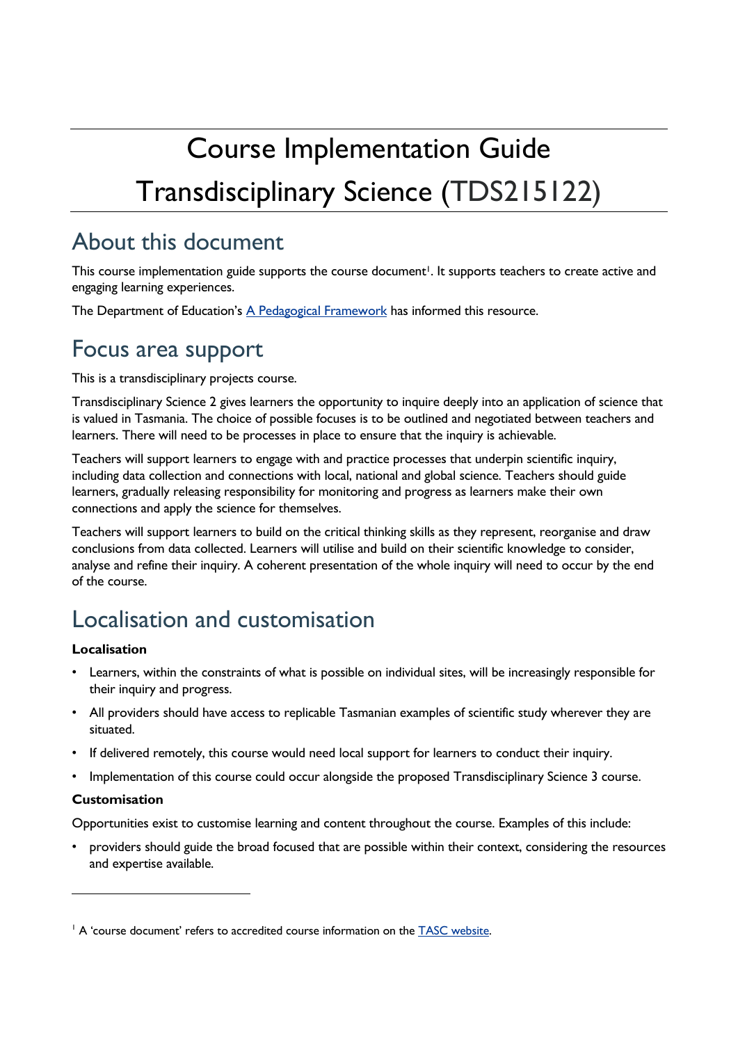# Course Implementation Guide Transdisciplinary Science (TDS215122)

# <span id="page-2-0"></span>About this document

This course implementation guide supports the course document<sup>1</sup>. It supports teachers to create active and engaging learning experiences.

The Department of Education's [A Pedagogical Framework](https://documentcentre.education.tas.gov.au/_layouts/15/DocIdRedir.aspx?ID=TASED-1629159896-383) has informed this resource.

# <span id="page-2-1"></span>Focus area support

This is a transdisciplinary projects course.

Transdisciplinary Science 2 gives learners the opportunity to inquire deeply into an application of science that is valued in Tasmania. The choice of possible focuses is to be outlined and negotiated between teachers and learners. There will need to be processes in place to ensure that the inquiry is achievable.

Teachers will support learners to engage with and practice processes that underpin scientific inquiry, including data collection and connections with local, national and global science. Teachers should guide learners, gradually releasing responsibility for monitoring and progress as learners make their own connections and apply the science for themselves.

Teachers will support learners to build on the critical thinking skills as they represent, reorganise and draw conclusions from data collected. Learners will utilise and build on their scientific knowledge to consider, analyse and refine their inquiry. A coherent presentation of the whole inquiry will need to occur by the end of the course.

# <span id="page-2-2"></span>Localisation and customisation

#### **Localisation**

- Learners, within the constraints of what is possible on individual sites, will be increasingly responsible for their inquiry and progress.
- All providers should have access to replicable Tasmanian examples of scientific study wherever they are situated.
- If delivered remotely, this course would need local support for learners to conduct their inquiry.
- Implementation of this course could occur alongside the proposed Transdisciplinary Science 3 course.

#### **Customisation**

Opportunities exist to customise learning and content throughout the course. Examples of this include:

• providers should guide the broad focused that are possible within their context, considering the resources and expertise available.

<sup>&</sup>lt;sup>1</sup> A 'course document' refers to accredited course information on the **TASC** website.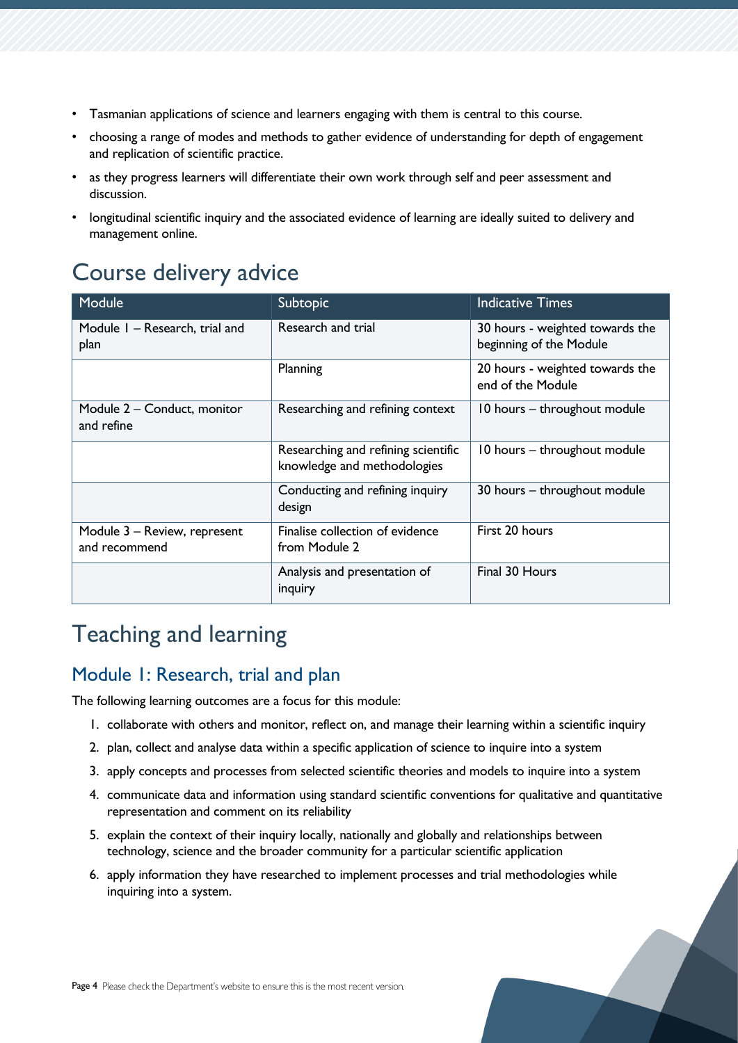- Tasmanian applications of science and learners engaging with them is central to this course.
- choosing a range of modes and methods to gather evidence of understanding for depth of engagement and replication of scientific practice.
- as they progress learners will differentiate their own work through self and peer assessment and discussion.
- longitudinal scientific inquiry and the associated evidence of learning are ideally suited to delivery and management online.

# <span id="page-3-0"></span>Course delivery advice

| Module                                        | Subtopic                                                           | <b>Indicative Times</b>                                    |
|-----------------------------------------------|--------------------------------------------------------------------|------------------------------------------------------------|
| Module I - Research, trial and<br>plan        | Research and trial                                                 | 30 hours - weighted towards the<br>beginning of the Module |
|                                               | Planning                                                           | 20 hours - weighted towards the<br>end of the Module       |
| Module 2 - Conduct, monitor<br>and refine     | Researching and refining context                                   | 10 hours - throughout module                               |
|                                               | Researching and refining scientific<br>knowledge and methodologies | 10 hours - throughout module                               |
|                                               | Conducting and refining inquiry<br>design                          | 30 hours - throughout module                               |
| Module 3 - Review, represent<br>and recommend | Finalise collection of evidence<br>from Module 2                   | First 20 hours                                             |
|                                               | Analysis and presentation of<br>inquiry                            | Final 30 Hours                                             |

# <span id="page-3-1"></span>Teaching and learning

## <span id="page-3-2"></span>Module 1: Research, trial and plan

The following learning outcomes are a focus for this module:

- 1. collaborate with others and monitor, reflect on, and manage their learning within a scientific inquiry
- 2. plan, collect and analyse data within a specific application of science to inquire into a system
- 3. apply concepts and processes from selected scientific theories and models to inquire into a system
- 4. communicate data and information using standard scientific conventions for qualitative and quantitative representation and comment on its reliability
- 5. explain the context of their inquiry locally, nationally and globally and relationships between technology, science and the broader community for a particular scientific application
- 6. apply information they have researched to implement processes and trial methodologies while inquiring into a system.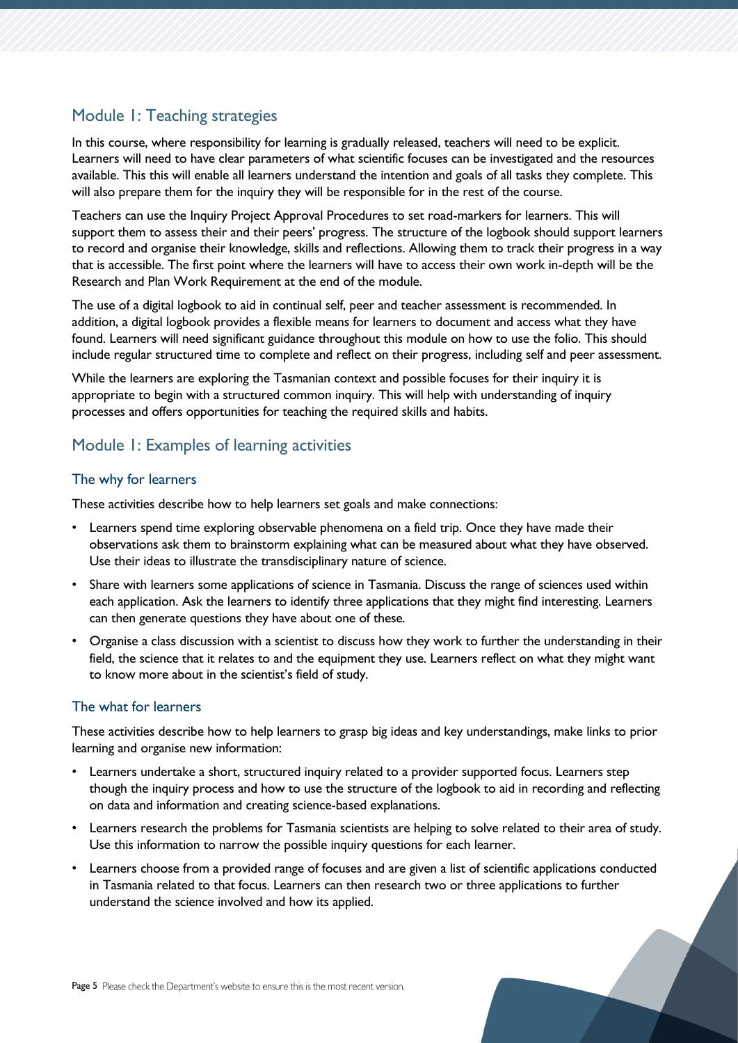### Module 1: Teaching strategies

In this course, where responsibility for learning is gradually released, teachers will need to be explicit. Learners will need to have clear parameters of what scientific focuses can be investigated and the resources available. This this will enable all learners understand the intention and goals of all tasks they complete. This will also prepare them for the inquiry they will be responsible for in the rest of the course.

Teachers can use the Inquiry Project Approval Procedures to set road-markers for learners. This will support them to assess their and their peers' progress. The structure of the logbook should support learners to record and organise their knowledge, skills and reflections. Allowing them to track their progress in a way that is accessible. The first point where the learners will have to access their own work in-depth will be the Research and Plan Work Requirement at the end of the module.

The use of a digital logbook to aid in continual self, peer and teacher assessment is recommended. In addition, a digital logbook provides a flexible means for learners to document and access what they have found. Learners will need significant guidance throughout this module on how to use the folio. This should include regular structured time to complete and reflect on their progress, including self and peer assessment.

While the learners are exploring the Tasmanian context and possible focuses for their inquiry it is appropriate to begin with a structured common inquiry. This will help with understanding of inquiry processes and offers opportunities for teaching the required skills and habits.

### Module 1: Examples of learning activities

#### The why for learners

These activities describe how to help learners set goals and make connections:

- Learners spend time exploring observable phenomena on a field trip. Once they have made their observations ask them to brainstorm explaining what can be measured about what they have observed. Use their ideas to illustrate the transdisciplinary nature of science.
- Share with learners some applications of science in Tasmania. Discuss the range of sciences used within each application. Ask the learners to identify three applications that they might find interesting. Learners can then generate questions they have about one of these.
- Organise a class discussion with a scientist to discuss how they work to further the understanding in their field, the science that it relates to and the equipment they use. Learners reflect on what they might want to know more about in the scientist's field of study.

#### The what for learners

These activities describe how to help learners to grasp big ideas and key understandings, make links to prior learning and organise new information:

- Learners undertake a short, structured inquiry related to a provider supported focus. Learners step though the inquiry process and how to use the structure of the logbook to aid in recording and reflecting on data and information and creating science-based explanations.
- Learners research the problems for Tasmania scientists are helping to solve related to their area of study. Use this information to narrow the possible inquiry questions for each learner.
- Learners choose from a provided range of focuses and are given a list of scientific applications conducted in Tasmania related to that focus. Learners can then research two or three applications to further understand the science involved and how its applied.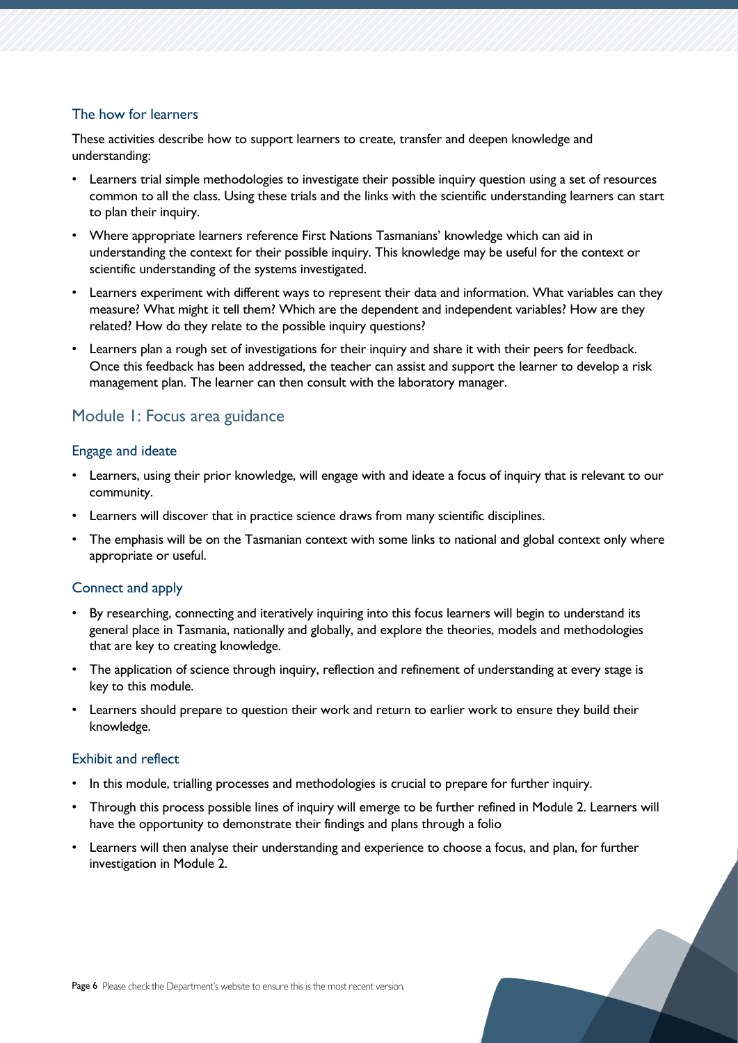#### The how for learners

These activities describe how to support learners to create, transfer and deepen knowledge and understanding:

- Learners trial simple methodologies to investigate their possible inquiry question using a set of resources common to all the class. Using these trials and the links with the scientific understanding learners can start to plan their inquiry.
- Where appropriate learners reference First Nations Tasmanians' knowledge which can aid in understanding the context for their possible inquiry. This knowledge may be useful for the context or scientific understanding of the systems investigated.
- Learners experiment with different ways to represent their data and information. What variables can they measure? What might it tell them? Which are the dependent and independent variables? How are they related? How do they relate to the possible inquiry questions?
- Learners plan a rough set of investigations for their inquiry and share it with their peers for feedback. Once this feedback has been addressed, the teacher can assist and support the learner to develop a risk management plan. The learner can then consult with the laboratory manager.

#### Module 1: Focus area guidance

#### Engage and ideate

- Learners, using their prior knowledge, will engage with and ideate a focus of inquiry that is relevant to our community.
- Learners will discover that in practice science draws from many scientific disciplines.
- The emphasis will be on the Tasmanian context with some links to national and global context only where appropriate or useful.

#### Connect and apply

- By researching, connecting and iteratively inquiring into this focus learners will begin to understand its general place in Tasmania, nationally and globally, and explore the theories, models and methodologies that are key to creating knowledge.
- The application of science through inquiry, reflection and refinement of understanding at every stage is key to this module.
- Learners should prepare to question their work and return to earlier work to ensure they build their knowledge.

#### Exhibit and reflect

- In this module, trialling processes and methodologies is crucial to prepare for further inquiry.
- Through this process possible lines of inquiry will emerge to be further refined in Module 2. Learners will have the opportunity to demonstrate their findings and plans through a folio
- Learners will then analyse their understanding and experience to choose a focus, and plan, for further investigation in Module 2.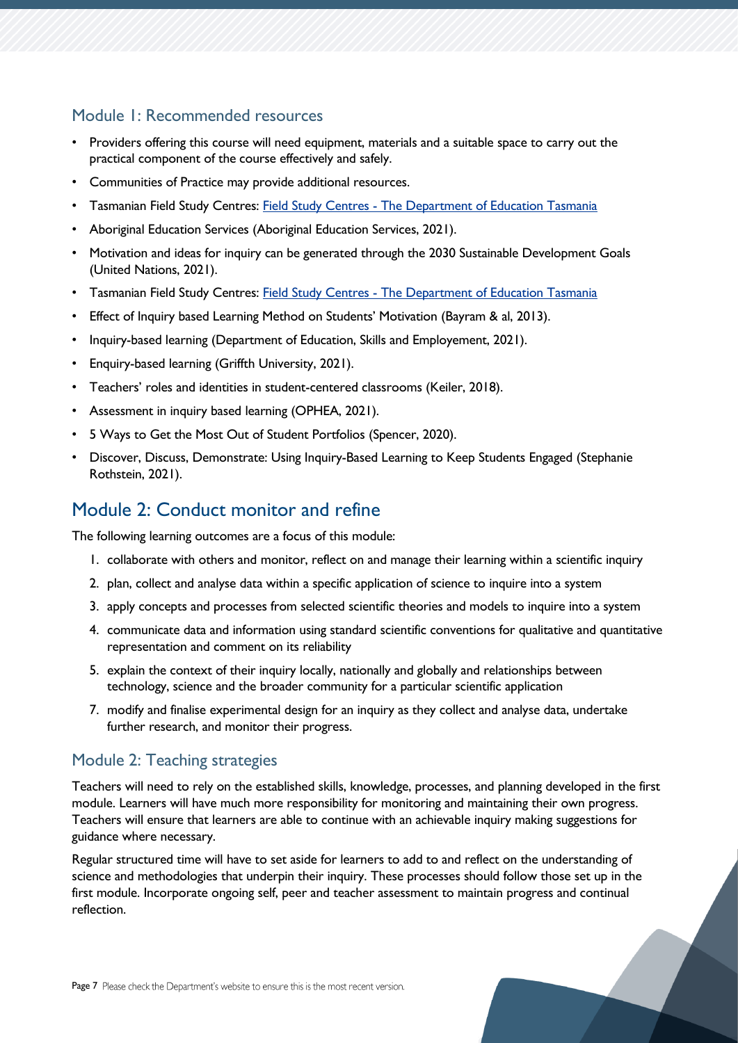#### Module 1: Recommended resources

- Providers offering this course will need equipment, materials and a suitable space to carry out the practical component of the course effectively and safely.
- Communities of Practice may provide additional resources.
- Tasmanian Field Study Centres: Field Study Centres [The Department of Education Tasmania](https://www.education.tas.gov.au/parents-carers/programs-and-initiatives/field-study-centres/)
- Aboriginal Education Services (Aboriginal Education Services, 2021).
- Motivation and ideas for inquiry can be generated through the 2030 Sustainable Development Goals (United Nations, 2021).
- Tasmanian Field Study Centres: Field Study Centres [The Department of Education Tasmania](https://www.education.tas.gov.au/parents-carers/programs-and-initiatives/field-study-centres/)
- Effect of Inquiry based Learning Method on Students' Motivation (Bayram & al, 2013).
- Inquiry-based learning (Department of Education, Skills and Employement, 2021).
- Enquiry-based learning (Griffth University, 2021).
- Teachers' roles and identities in student-centered classrooms (Keiler, 2018).
- Assessment in inquiry based learning (OPHEA, 2021).
- 5 Ways to Get the Most Out of Student Portfolios (Spencer, 2020).
- Discover, Discuss, Demonstrate: Using Inquiry-Based Learning to Keep Students Engaged (Stephanie Rothstein, 2021).

## <span id="page-6-0"></span>Module 2: Conduct monitor and refine

The following learning outcomes are a focus of this module:

- 1. collaborate with others and monitor, reflect on and manage their learning within a scientific inquiry
- 2. plan, collect and analyse data within a specific application of science to inquire into a system
- 3. apply concepts and processes from selected scientific theories and models to inquire into a system
- 4. communicate data and information using standard scientific conventions for qualitative and quantitative representation and comment on its reliability
- 5. explain the context of their inquiry locally, nationally and globally and relationships between technology, science and the broader community for a particular scientific application
- 7. modify and finalise experimental design for an inquiry as they collect and analyse data, undertake further research, and monitor their progress.

#### Module 2: Teaching strategies

Teachers will need to rely on the established skills, knowledge, processes, and planning developed in the first module. Learners will have much more responsibility for monitoring and maintaining their own progress. Teachers will ensure that learners are able to continue with an achievable inquiry making suggestions for guidance where necessary.

Regular structured time will have to set aside for learners to add to and reflect on the understanding of science and methodologies that underpin their inquiry. These processes should follow those set up in the first module. Incorporate ongoing self, peer and teacher assessment to maintain progress and continual reflection.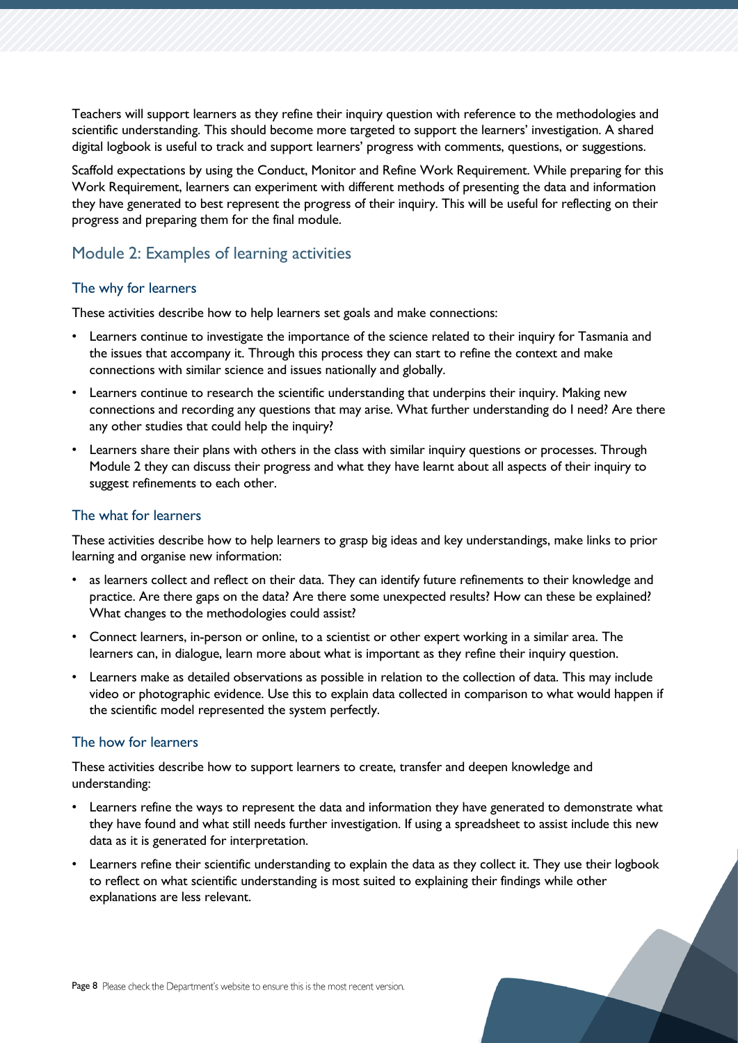Teachers will support learners as they refine their inquiry question with reference to the methodologies and scientific understanding. This should become more targeted to support the learners' investigation. A shared digital logbook is useful to track and support learners' progress with comments, questions, or suggestions.

Scaffold expectations by using the Conduct, Monitor and Refine Work Requirement. While preparing for this Work Requirement, learners can experiment with different methods of presenting the data and information they have generated to best represent the progress of their inquiry. This will be useful for reflecting on their progress and preparing them for the final module.

### Module 2: Examples of learning activities

#### The why for learners

These activities describe how to help learners set goals and make connections:

- Learners continue to investigate the importance of the science related to their inquiry for Tasmania and the issues that accompany it. Through this process they can start to refine the context and make connections with similar science and issues nationally and globally.
- Learners continue to research the scientific understanding that underpins their inquiry. Making new connections and recording any questions that may arise. What further understanding do I need? Are there any other studies that could help the inquiry?
- Learners share their plans with others in the class with similar inquiry questions or processes. Through Module 2 they can discuss their progress and what they have learnt about all aspects of their inquiry to suggest refinements to each other.

#### The what for learners

These activities describe how to help learners to grasp big ideas and key understandings, make links to prior learning and organise new information:

- as learners collect and reflect on their data. They can identify future refinements to their knowledge and practice. Are there gaps on the data? Are there some unexpected results? How can these be explained? What changes to the methodologies could assist?
- Connect learners, in-person or online, to a scientist or other expert working in a similar area. The learners can, in dialogue, learn more about what is important as they refine their inquiry question.
- Learners make as detailed observations as possible in relation to the collection of data. This may include video or photographic evidence. Use this to explain data collected in comparison to what would happen if the scientific model represented the system perfectly.

#### The how for learners

These activities describe how to support learners to create, transfer and deepen knowledge and understanding:

- Learners refine the ways to represent the data and information they have generated to demonstrate what they have found and what still needs further investigation. If using a spreadsheet to assist include this new data as it is generated for interpretation.
- Learners refine their scientific understanding to explain the data as they collect it. They use their logbook to reflect on what scientific understanding is most suited to explaining their findings while other explanations are less relevant.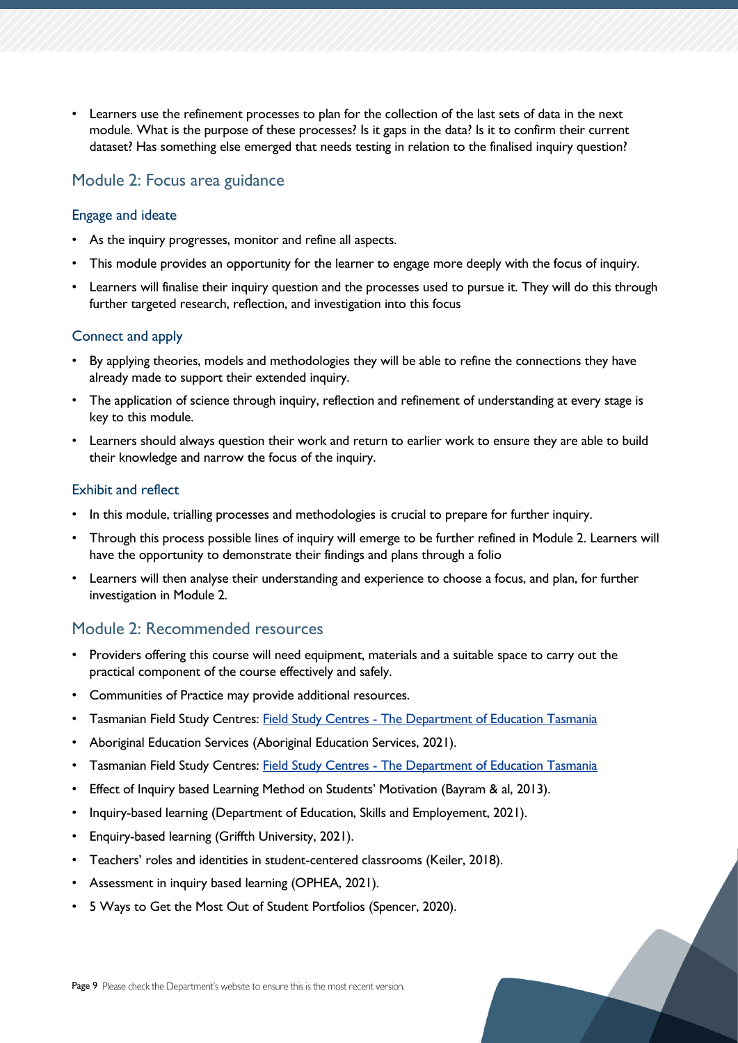• Learners use the refinement processes to plan for the collection of the last sets of data in the next module. What is the purpose of these processes? Is it gaps in the data? Is it to confirm their current dataset? Has something else emerged that needs testing in relation to the finalised inquiry question?

### Module 2: Focus area guidance

#### Engage and ideate

- As the inquiry progresses, monitor and refine all aspects.
- This module provides an opportunity for the learner to engage more deeply with the focus of inquiry.
- Learners will finalise their inquiry question and the processes used to pursue it. They will do this through further targeted research, reflection, and investigation into this focus

#### Connect and apply

- By applying theories, models and methodologies they will be able to refine the connections they have already made to support their extended inquiry.
- The application of science through inquiry, reflection and refinement of understanding at every stage is key to this module.
- Learners should always question their work and return to earlier work to ensure they are able to build their knowledge and narrow the focus of the inquiry.

#### Exhibit and reflect

- In this module, trialling processes and methodologies is crucial to prepare for further inquiry.
- Through this process possible lines of inquiry will emerge to be further refined in Module 2. Learners will have the opportunity to demonstrate their findings and plans through a folio
- Learners will then analyse their understanding and experience to choose a focus, and plan, for further investigation in Module 2.

#### Module 2: Recommended resources

- Providers offering this course will need equipment, materials and a suitable space to carry out the practical component of the course effectively and safely.
- Communities of Practice may provide additional resources.
- Tasmanian Field Study Centres: Field Study Centres [The Department of Education Tasmania](https://www.education.tas.gov.au/parents-carers/programs-and-initiatives/field-study-centres/)
- Aboriginal Education Services (Aboriginal Education Services, 2021).
- Tasmanian Field Study Centres: Field Study Centres [The Department of Education Tasmania](https://www.education.tas.gov.au/parents-carers/programs-and-initiatives/field-study-centres/)
- Effect of Inquiry based Learning Method on Students' Motivation (Bayram & al, 2013).
- Inquiry-based learning (Department of Education, Skills and Employement, 2021).
- Enquiry-based learning (Griffth University, 2021).
- Teachers' roles and identities in student-centered classrooms (Keiler, 2018).
- Assessment in inquiry based learning (OPHEA, 2021).
- 5 Ways to Get the Most Out of Student Portfolios (Spencer, 2020).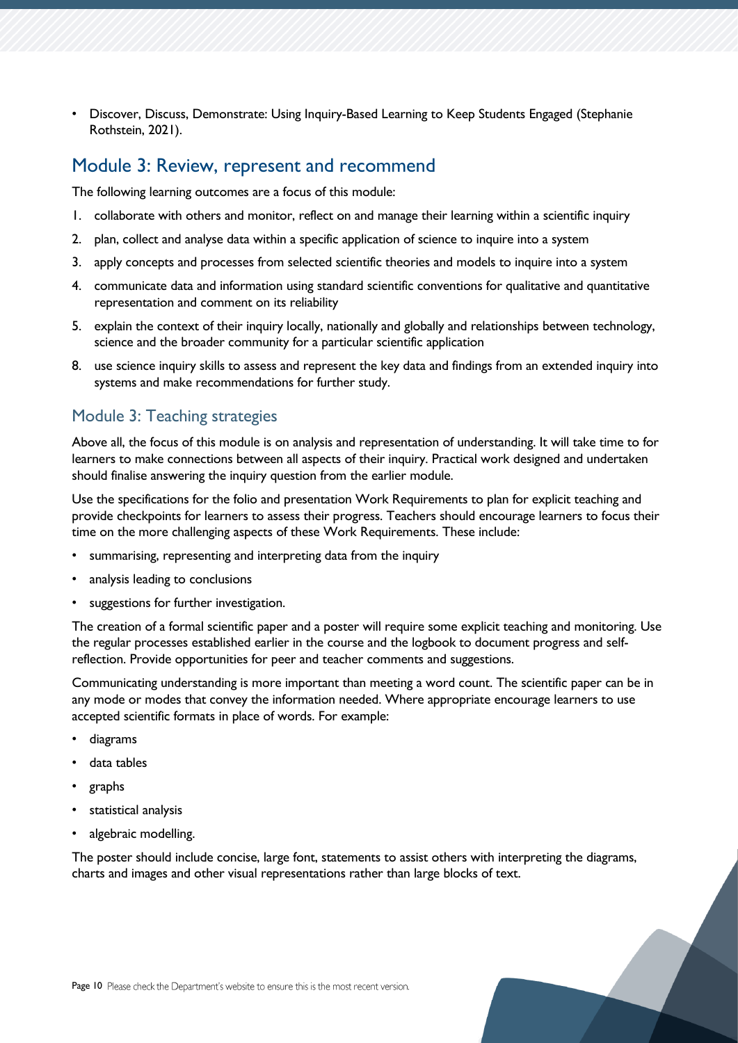• Discover, Discuss, Demonstrate: Using Inquiry-Based Learning to Keep Students Engaged (Stephanie Rothstein, 2021).

### <span id="page-9-0"></span>Module 3: Review, represent and recommend

The following learning outcomes are a focus of this module:

- 1. collaborate with others and monitor, reflect on and manage their learning within a scientific inquiry
- 2. plan, collect and analyse data within a specific application of science to inquire into a system
- 3. apply concepts and processes from selected scientific theories and models to inquire into a system
- 4. communicate data and information using standard scientific conventions for qualitative and quantitative representation and comment on its reliability
- 5. explain the context of their inquiry locally, nationally and globally and relationships between technology, science and the broader community for a particular scientific application
- 8. use science inquiry skills to assess and represent the key data and findings from an extended inquiry into systems and make recommendations for further study.

#### Module 3: Teaching strategies

Above all, the focus of this module is on analysis and representation of understanding. It will take time to for learners to make connections between all aspects of their inquiry. Practical work designed and undertaken should finalise answering the inquiry question from the earlier module.

Use the specifications for the folio and presentation Work Requirements to plan for explicit teaching and provide checkpoints for learners to assess their progress. Teachers should encourage learners to focus their time on the more challenging aspects of these Work Requirements. These include:

- summarising, representing and interpreting data from the inquiry
- analysis leading to conclusions
- suggestions for further investigation.

The creation of a formal scientific paper and a poster will require some explicit teaching and monitoring. Use the regular processes established earlier in the course and the logbook to document progress and selfreflection. Provide opportunities for peer and teacher comments and suggestions.

Communicating understanding is more important than meeting a word count. The scientific paper can be in any mode or modes that convey the information needed. Where appropriate encourage learners to use accepted scientific formats in place of words. For example:

- diagrams
- data tables
- graphs
- statistical analysis
- algebraic modelling.

The poster should include concise, large font, statements to assist others with interpreting the diagrams, charts and images and other visual representations rather than large blocks of text.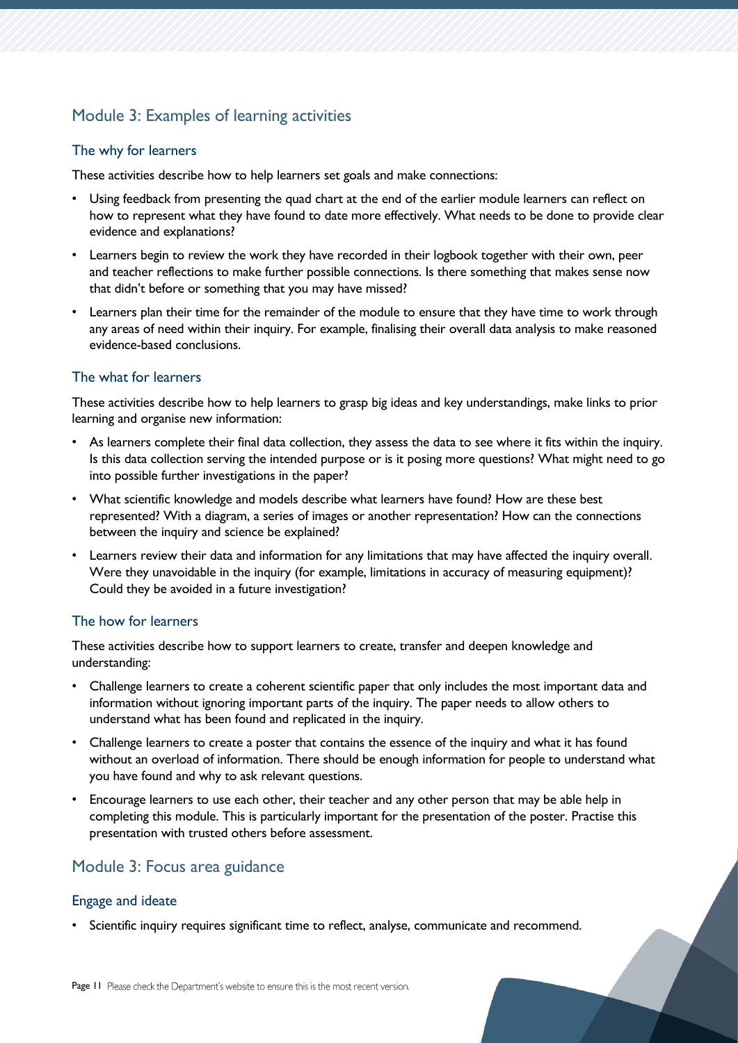### Module 3: Examples of learning activities

#### The why for learners

These activities describe how to help learners set goals and make connections:

- Using feedback from presenting the quad chart at the end of the earlier module learners can reflect on how to represent what they have found to date more effectively. What needs to be done to provide clear evidence and explanations?
- Learners begin to review the work they have recorded in their logbook together with their own, peer and teacher reflections to make further possible connections. Is there something that makes sense now that didn't before or something that you may have missed?
- Learners plan their time for the remainder of the module to ensure that they have time to work through any areas of need within their inquiry. For example, finalising their overall data analysis to make reasoned evidence-based conclusions.

#### The what for learners

These activities describe how to help learners to grasp big ideas and key understandings, make links to prior learning and organise new information:

- As learners complete their final data collection, they assess the data to see where it fits within the inquiry. Is this data collection serving the intended purpose or is it posing more questions? What might need to go into possible further investigations in the paper?
- What scientific knowledge and models describe what learners have found? How are these best represented? With a diagram, a series of images or another representation? How can the connections between the inquiry and science be explained?
- Learners review their data and information for any limitations that may have affected the inquiry overall. Were they unavoidable in the inquiry (for example, limitations in accuracy of measuring equipment)? Could they be avoided in a future investigation?

#### The how for learners

These activities describe how to support learners to create, transfer and deepen knowledge and understanding:

- Challenge learners to create a coherent scientific paper that only includes the most important data and information without ignoring important parts of the inquiry. The paper needs to allow others to understand what has been found and replicated in the inquiry.
- Challenge learners to create a poster that contains the essence of the inquiry and what it has found without an overload of information. There should be enough information for people to understand what you have found and why to ask relevant questions.
- Encourage learners to use each other, their teacher and any other person that may be able help in completing this module. This is particularly important for the presentation of the poster. Practise this presentation with trusted others before assessment.

#### Module 3: Focus area guidance

#### Engage and ideate

• Scientific inquiry requires significant time to reflect, analyse, communicate and recommend.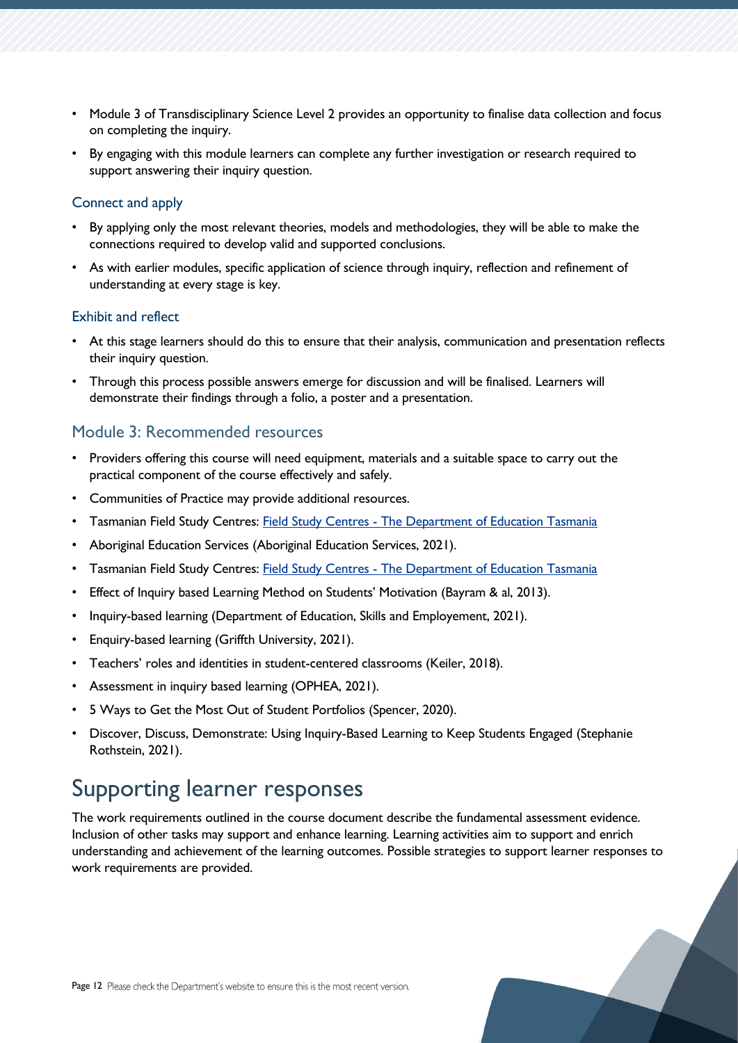- Module 3 of Transdisciplinary Science Level 2 provides an opportunity to finalise data collection and focus on completing the inquiry.
- By engaging with this module learners can complete any further investigation or research required to support answering their inquiry question.

#### Connect and apply

- By applying only the most relevant theories, models and methodologies, they will be able to make the connections required to develop valid and supported conclusions.
- As with earlier modules, specific application of science through inquiry, reflection and refinement of understanding at every stage is key.

#### Exhibit and reflect

- At this stage learners should do this to ensure that their analysis, communication and presentation reflects their inquiry question.
- Through this process possible answers emerge for discussion and will be finalised. Learners will demonstrate their findings through a folio, a poster and a presentation.

#### Module 3: Recommended resources

- Providers offering this course will need equipment, materials and a suitable space to carry out the practical component of the course effectively and safely.
- Communities of Practice may provide additional resources.
- **Tasmanian Field Study Centres: Field Study Centres [The Department of Education Tasmania](https://www.education.tas.gov.au/parents-carers/programs-and-initiatives/field-study-centres/)**
- Aboriginal Education Services (Aboriginal Education Services, 2021).
- Tasmanian Field Study Centres: Field Study Centres [The Department of Education Tasmania](https://www.education.tas.gov.au/parents-carers/programs-and-initiatives/field-study-centres/)
- Effect of Inquiry based Learning Method on Students' Motivation (Bayram & al, 2013).
- Inquiry-based learning (Department of Education, Skills and Employement, 2021).
- Enquiry-based learning (Griffth University, 2021).
- Teachers' roles and identities in student-centered classrooms (Keiler, 2018).
- Assessment in inquiry based learning (OPHEA, 2021).
- 5 Ways to Get the Most Out of Student Portfolios (Spencer, 2020).
- Discover, Discuss, Demonstrate: Using Inquiry-Based Learning to Keep Students Engaged (Stephanie Rothstein, 2021).

# <span id="page-11-0"></span>Supporting learner responses

The work requirements outlined in the course document describe the fundamental assessment evidence. Inclusion of other tasks may support and enhance learning. Learning activities aim to support and enrich understanding and achievement of the learning outcomes. Possible strategies to support learner responses to work requirements are provided.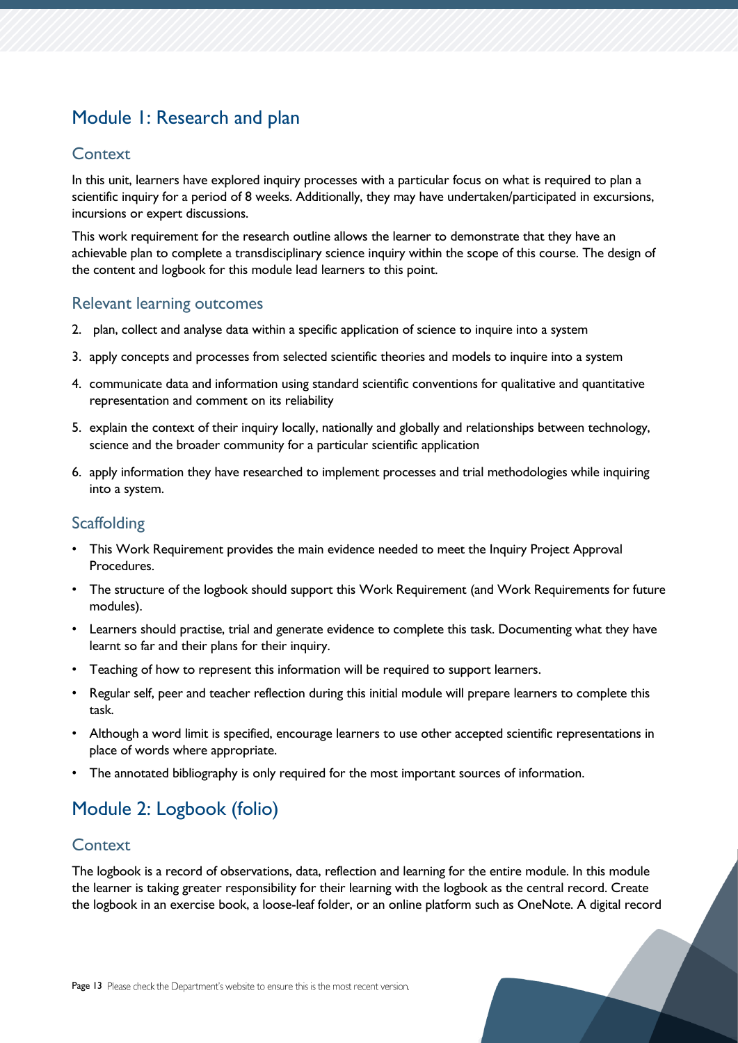# <span id="page-12-0"></span>Module 1: Research and plan

#### **Context**

In this unit, learners have explored inquiry processes with a particular focus on what is required to plan a scientific inquiry for a period of 8 weeks. Additionally, they may have undertaken/participated in excursions, incursions or expert discussions.

This work requirement for the research outline allows the learner to demonstrate that they have an achievable plan to complete a transdisciplinary science inquiry within the scope of this course. The design of the content and logbook for this module lead learners to this point.

#### Relevant learning outcomes

- 2. plan, collect and analyse data within a specific application of science to inquire into a system
- 3. apply concepts and processes from selected scientific theories and models to inquire into a system
- 4. communicate data and information using standard scientific conventions for qualitative and quantitative representation and comment on its reliability
- 5. explain the context of their inquiry locally, nationally and globally and relationships between technology, science and the broader community for a particular scientific application
- 6. apply information they have researched to implement processes and trial methodologies while inquiring into a system.

#### **Scaffolding**

- This Work Requirement provides the main evidence needed to meet the Inquiry Project Approval Procedures.
- The structure of the logbook should support this Work Requirement (and Work Requirements for future modules).
- Learners should practise, trial and generate evidence to complete this task. Documenting what they have learnt so far and their plans for their inquiry.
- Teaching of how to represent this information will be required to support learners.
- Regular self, peer and teacher reflection during this initial module will prepare learners to complete this task.
- Although a word limit is specified, encourage learners to use other accepted scientific representations in place of words where appropriate.
- The annotated bibliography is only required for the most important sources of information.

# <span id="page-12-1"></span>Module 2: Logbook (folio)

#### **Context**

The logbook is a record of observations, data, reflection and learning for the entire module. In this module the learner is taking greater responsibility for their learning with the logbook as the central record. Create the logbook in an exercise book, a loose-leaf folder, or an online platform such as OneNote. A digital record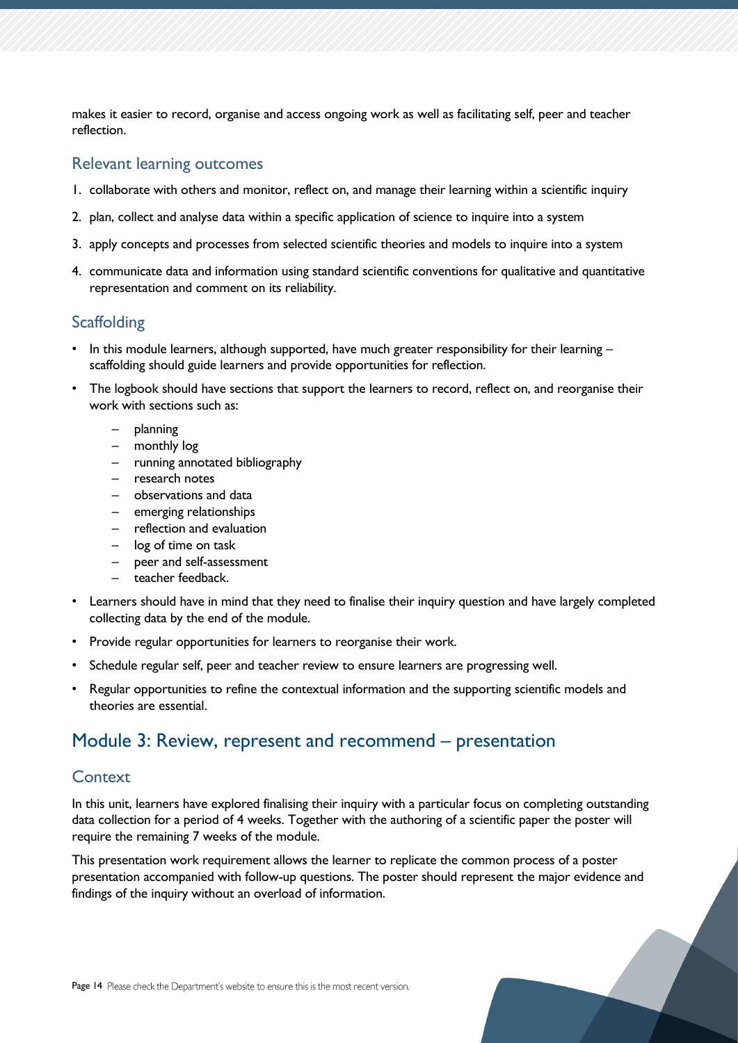makes it easier to record, organise and access ongoing work as well as facilitating self, peer and teacher reflection.

#### Relevant learning outcomes

- 1. collaborate with others and monitor, reflect on, and manage their learning within a scientific inquiry
- 2. plan, collect and analyse data within a specific application of science to inquire into a system
- 3. apply concepts and processes from selected scientific theories and models to inquire into a system
- 4. communicate data and information using standard scientific conventions for qualitative and quantitative representation and comment on its reliability.

#### **Scaffolding**

- In this module learners, although supported, have much greater responsibility for their learning scaffolding should guide learners and provide opportunities for reflection.
- The logbook should have sections that support the learners to record, reflect on, and reorganise their work with sections such as:
	- planning
	- monthly log
	- running annotated bibliography
	- research notes
	- observations and data
	- emerging relationships
	- reflection and evaluation
	- log of time on task
	- peer and self-assessment
	- teacher feedback.
- Learners should have in mind that they need to finalise their inquiry question and have largely completed collecting data by the end of the module.
- Provide regular opportunities for learners to reorganise their work.
- Schedule regular self, peer and teacher review to ensure learners are progressing well.
- Regular opportunities to refine the contextual information and the supporting scientific models and theories are essential.

### <span id="page-13-0"></span>Module 3: Review, represent and recommend – presentation

#### **Context**

In this unit, learners have explored finalising their inquiry with a particular focus on completing outstanding data collection for a period of 4 weeks. Together with the authoring of a scientific paper the poster will require the remaining 7 weeks of the module.

This presentation work requirement allows the learner to replicate the common process of a poster presentation accompanied with follow-up questions. The poster should represent the major evidence and findings of the inquiry without an overload of information.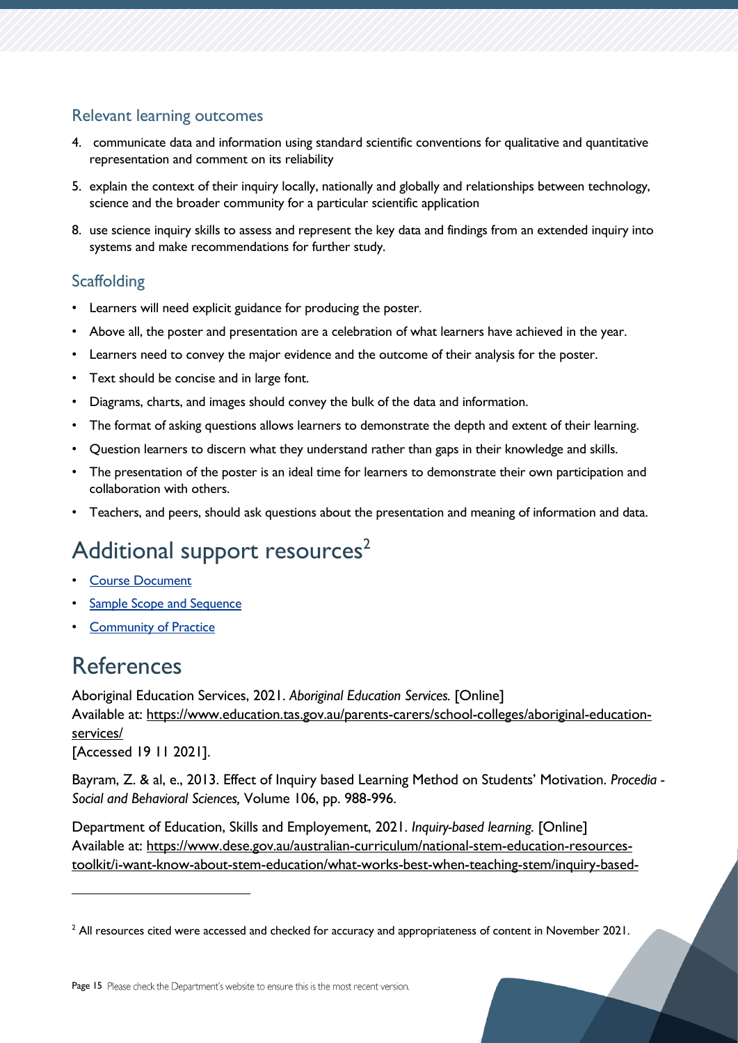### Relevant learning outcomes

- 4. communicate data and information using standard scientific conventions for qualitative and quantitative representation and comment on its reliability
- 5. explain the context of their inquiry locally, nationally and globally and relationships between technology, science and the broader community for a particular scientific application
- 8. use science inquiry skills to assess and represent the key data and findings from an extended inquiry into systems and make recommendations for further study.

### **Scaffolding**

- Learners will need explicit guidance for producing the poster.
- Above all, the poster and presentation are a celebration of what learners have achieved in the year.
- Learners need to convey the major evidence and the outcome of their analysis for the poster.
- Text should be concise and in large font.
- Diagrams, charts, and images should convey the bulk of the data and information.
- The format of asking questions allows learners to demonstrate the depth and extent of their learning.
- Question learners to discern what they understand rather than gaps in their knowledge and skills.
- The presentation of the poster is an ideal time for learners to demonstrate their own participation and collaboration with others.
- Teachers, and peers, should ask questions about the presentation and meaning of information and data.

# <span id="page-14-0"></span>Additional support resources<sup>2</sup>

- [Course Document](https://www.tasc.tas.gov.au/students/courses/science/tds215122/)
- [Sample Scope and Sequence](https://documentcentre.education.tas.gov.au/_layouts/15/DocIdRedir.aspx?ID=TASED-1409172972-1879)
- [Community of Practice](https://11and12.education.tas.gov.au/communities-of-practice/)

# <span id="page-14-1"></span>References

Aboriginal Education Services, 2021. *Aboriginal Education Services.* [Online] Available at: https://www.education.tas.gov.au/parents-carers/school-colleges/aboriginal-educationservices/

[Accessed 19 11 2021].

Bayram, Z. & al, e., 2013. Effect of Inquiry based Learning Method on Students' Motivation. *Procedia - Social and Behavioral Sciences,* Volume 106, pp. 988-996.

Department of Education, Skills and Employement, 2021. *Inquiry-based learning.* [Online] Available at: https://www.dese.gov.au/australian-curriculum/national-stem-education-resourcestoolkit/i-want-know-about-stem-education/what-works-best-when-teaching-stem/inquiry-based-

 $<sup>2</sup>$  All resources cited were accessed and checked for accuracy and appropriateness of content in November 2021.</sup>

Page 15 Please check the Department's website to ensure this is the most recent version.